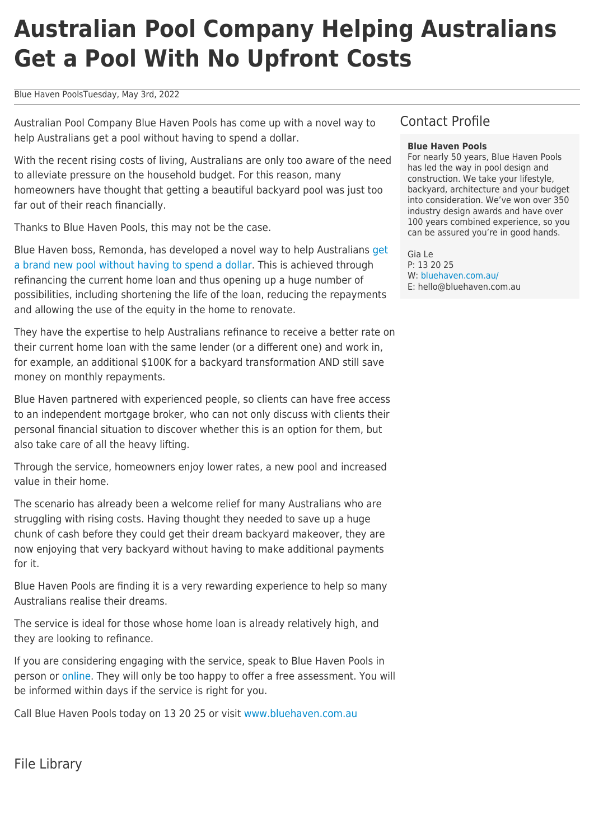## **Australian Pool Company Helping Australians Get a Pool With No Upfront Costs**

Blue Haven PoolsTuesday, May 3rd, 2022

Australian Pool Company Blue Haven Pools has come up with a novel way to help Australians get a pool without having to spend a dollar.

With the recent rising costs of living, Australians are only too aware of the need to alleviate pressure on the household budget. For this reason, many homeowners have thought that getting a beautiful backyard pool was just too far out of their reach financially.

Thanks to Blue Haven Pools, this may not be the case.

Blue Haven boss, Remonda, has developed a novel way to help Australians [get](https://bluehaven.com.au/how-to-build-a-pool-without-spending-a-dollar/) [a brand new pool without having to spend a dollar](https://bluehaven.com.au/how-to-build-a-pool-without-spending-a-dollar/). This is achieved through refinancing the current home loan and thus opening up a huge number of possibilities, including shortening the life of the loan, reducing the repayments and allowing the use of the equity in the home to renovate.

They have the expertise to help Australians refinance to receive a better rate on their current home loan with the same lender (or a different one) and work in, for example, an additional \$100K for a backyard transformation AND still save money on monthly repayments.

Blue Haven partnered with experienced people, so clients can have free access to an independent mortgage broker, who can not only discuss with clients their personal financial situation to discover whether this is an option for them, but also take care of all the heavy lifting.

Through the service, homeowners enjoy lower rates, a new pool and increased value in their home.

The scenario has already been a welcome relief for many Australians who are struggling with rising costs. Having thought they needed to save up a huge chunk of cash before they could get their dream backyard makeover, they are now enjoying that very backyard without having to make additional payments for it.

Blue Haven Pools are finding it is a very rewarding experience to help so many Australians realise their dreams.

The service is ideal for those whose home loan is already relatively high, and they are looking to refinance.

If you are considering engaging with the service, speak to Blue Haven Pools in person or [online](https://bluehaven.com.au/how-to-buy-your-dream-pool-online-without-a-salesperson/). They will only be too happy to offer a free assessment. You will be informed within days if the service is right for you.

Call Blue Haven Pools today on 13 20 25 or visit [www.bluehaven.com.au](http://www.bluehaven.com.au)

## Contact Profile

## **Blue Haven Pools**

For nearly 50 years, Blue Haven Pools has led the way in pool design and construction. We take your lifestyle, backyard, architecture and your budget into consideration. We've won over 350 industry design awards and have over 100 years combined experience, so you can be assured you're in good hands.

Gia Le

P: 13 20 25 W: [bluehaven.com.au/](https://bluehaven.com.au/) E: hello@bluehaven.com.au

File Library